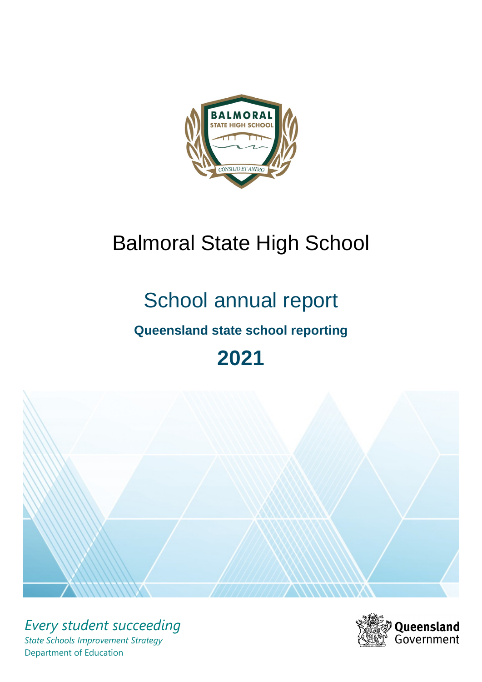

# Balmoral State High School

# School annual report

# **Queensland state school reporting**

# **2021**



*Every student succeeding State Schools Improvement Strategy* Department of Education

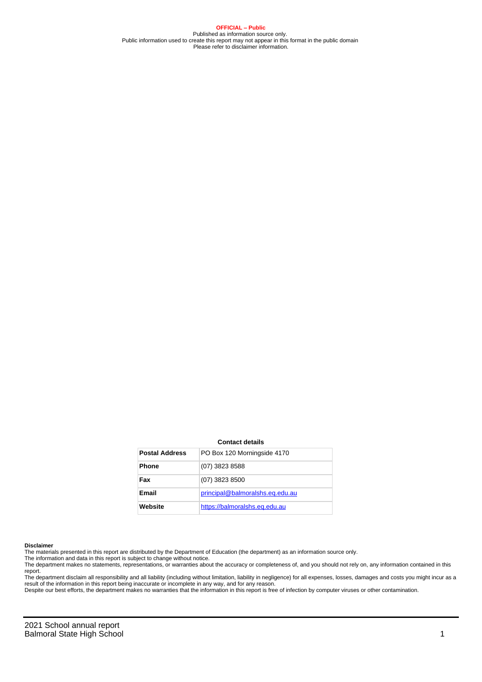**OFFICIAL – Public** Published as information source only. Public information used to create this report may not appear in this format in the public domain Please refer to disclaimer information.

#### **Contact details**

| <b>Postal Address</b> | PO Box 120 Morningside 4170     |
|-----------------------|---------------------------------|
| <b>Phone</b>          | (07) 3823 8588                  |
| Fax                   | (07) 3823 8500                  |
| Email                 | principal@balmoralshs.eq.edu.au |
| Website               | https://balmoralshs.eq.edu.au   |

#### **Disclaimer**

The materials presented in this report are distributed by the Department of Education (the department) as an information source only.

The information and data in this report is subject to change without notice.<br>The department makes no statements, representations, or warranties about the accuracy or completeness of, and you should not rely on, any informa report. The department disclaim all responsibility and all liability (including without limitation, liability in negligence) for all expenses, losses, damages and costs you might incur as a

result of the information in this report being inaccurate or incomplete in any way, and for any reason.

Despite our best efforts, the department makes no warranties that the information in this report is free of infection by computer viruses or other contamination.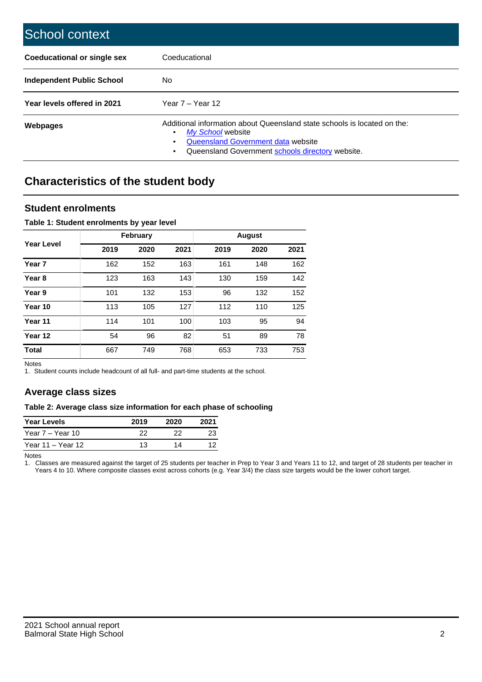| School context                     |                                                                                                                                                                                                   |
|------------------------------------|---------------------------------------------------------------------------------------------------------------------------------------------------------------------------------------------------|
| <b>Coeducational or single sex</b> | Coeducational                                                                                                                                                                                     |
| Independent Public School          | No.                                                                                                                                                                                               |
| Year levels offered in 2021        | Year $7 -$ Year 12                                                                                                                                                                                |
| Webpages                           | Additional information about Queensland state schools is located on the:<br>My School website<br>٠<br>Queensland Government data website<br>Queensland Government schools directory website.<br>٠ |

# **Characteristics of the student body**

### **Student enrolments**

### **Table 1: Student enrolments by year level**

|                   |      | <b>February</b> |      | <b>August</b> |      |      |  |
|-------------------|------|-----------------|------|---------------|------|------|--|
| <b>Year Level</b> | 2019 | 2020            | 2021 | 2019          | 2020 | 2021 |  |
| Year <sub>7</sub> | 162  | 152             | 163  | 161           | 148  | 162  |  |
| Year <sub>8</sub> | 123  | 163             | 143  | 130           | 159  | 142  |  |
| Year 9            | 101  | 132             | 153  | 96            | 132  | 152  |  |
| Year 10           | 113  | 105             | 127  | 112           | 110  | 125  |  |
| Year 11           | 114  | 101             | 100  | 103           | 95   | 94   |  |
| Year 12           | 54   | 96              | 82   | 51            | 89   | 78   |  |
| <b>Total</b>      | 667  | 749             | 768  | 653           | 733  | 753  |  |

Notes

1. Student counts include headcount of all full- and part-time students at the school.

### **Average class sizes**

### **Table 2: Average class size information for each phase of schooling**

| <b>Year Levels</b> | 2019 | 2020 | 2021 |
|--------------------|------|------|------|
| Year 7 – Year 10   | 22   | つつ   | 23   |
| Year 11 – Year 12  | 13   | 14   |      |

Notes

1. Classes are measured against the target of 25 students per teacher in Prep to Year 3 and Years 11 to 12, and target of 28 students per teacher in Years 4 to 10. Where composite classes exist across cohorts (e.g. Year 3/4) the class size targets would be the lower cohort target.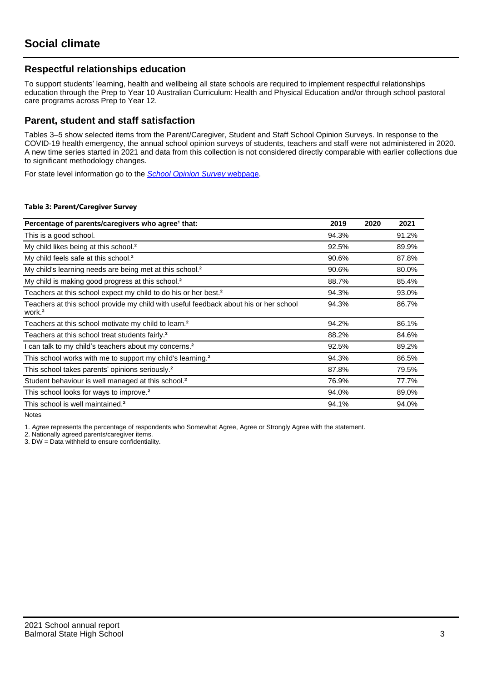### **Respectful relationships education**

To support students' learning, health and wellbeing all state schools are required to implement respectful relationships education through the Prep to Year 10 Australian Curriculum: Health and Physical Education and/or through school pastoral care programs across Prep to Year 12.

### **Parent, student and staff satisfaction**

Tables 3–5 show selected items from the Parent/Caregiver, Student and Staff School Opinion Surveys. In response to the COVID-19 health emergency, the annual school opinion surveys of students, teachers and staff were not administered in 2020. A new time series started in 2021 and data from this collection is not considered directly comparable with earlier collections due to significant methodology changes.

For state level information go to the **[School Opinion Survey](https://qed.qld.gov.au/publications/reports/statistics/schooling/schools/schoolopinionsurvey) webpage**.

### **Table 3: Parent/Caregiver Survey**

| Percentage of parents/caregivers who agree <sup>1</sup> that:                                               | 2019  | 2020 | 2021  |
|-------------------------------------------------------------------------------------------------------------|-------|------|-------|
| This is a good school.                                                                                      | 94.3% |      | 91.2% |
| My child likes being at this school. <sup>2</sup>                                                           | 92.5% |      | 89.9% |
| My child feels safe at this school. <sup>2</sup>                                                            | 90.6% |      | 87.8% |
| My child's learning needs are being met at this school. <sup>2</sup>                                        | 90.6% |      | 80.0% |
| My child is making good progress at this school. <sup>2</sup>                                               | 88.7% |      | 85.4% |
| Teachers at this school expect my child to do his or her best. <sup>2</sup>                                 | 94.3% |      | 93.0% |
| Teachers at this school provide my child with useful feedback about his or her school<br>work. <sup>2</sup> | 94.3% |      | 86.7% |
| Teachers at this school motivate my child to learn. <sup>2</sup>                                            | 94.2% |      | 86.1% |
| Teachers at this school treat students fairly. <sup>2</sup>                                                 | 88.2% |      | 84.6% |
| I can talk to my child's teachers about my concerns. <sup>2</sup>                                           | 92.5% |      | 89.2% |
| This school works with me to support my child's learning. <sup>2</sup>                                      | 94.3% |      | 86.5% |
| This school takes parents' opinions seriously. <sup>2</sup>                                                 | 87.8% |      | 79.5% |
| Student behaviour is well managed at this school. <sup>2</sup>                                              | 76.9% |      | 77.7% |
| This school looks for ways to improve. <sup>2</sup>                                                         | 94.0% |      | 89.0% |
| This school is well maintained. <sup>2</sup>                                                                | 94.1% |      | 94.0% |

Notes

1. Agree represents the percentage of respondents who Somewhat Agree, Agree or Strongly Agree with the statement.

2. Nationally agreed parents/caregiver items.

3. DW = Data withheld to ensure confidentiality.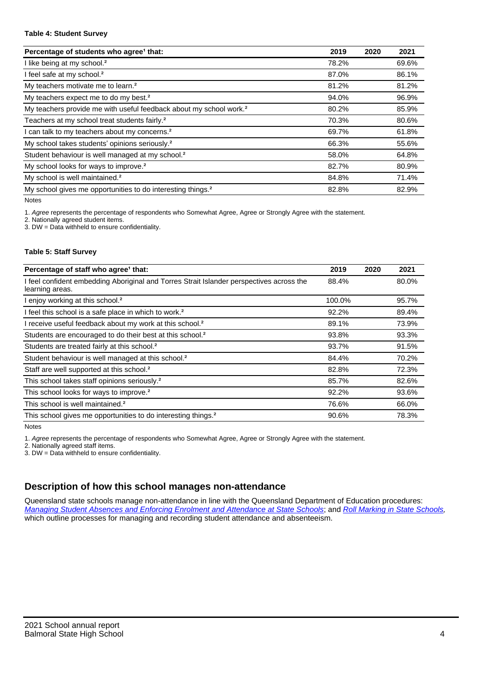### **Table 4: Student Survey**

| Percentage of students who agree <sup>1</sup> that:                            | 2019  | 2020 | 2021  |
|--------------------------------------------------------------------------------|-------|------|-------|
| I like being at my school. <sup>2</sup>                                        | 78.2% |      | 69.6% |
| I feel safe at my school. <sup>2</sup>                                         | 87.0% |      | 86.1% |
| My teachers motivate me to learn. <sup>2</sup>                                 | 81.2% |      | 81.2% |
| My teachers expect me to do my best. <sup>2</sup>                              | 94.0% |      | 96.9% |
| My teachers provide me with useful feedback about my school work. <sup>2</sup> | 80.2% |      | 85.9% |
| Teachers at my school treat students fairly. <sup>2</sup>                      | 70.3% |      | 80.6% |
| I can talk to my teachers about my concerns. <sup>2</sup>                      | 69.7% |      | 61.8% |
| My school takes students' opinions seriously. <sup>2</sup>                     | 66.3% |      | 55.6% |
| Student behaviour is well managed at my school. <sup>2</sup>                   | 58.0% |      | 64.8% |
| My school looks for ways to improve. <sup>2</sup>                              | 82.7% |      | 80.9% |
| My school is well maintained. <sup>2</sup>                                     | 84.8% |      | 71.4% |
| My school gives me opportunities to do interesting things. <sup>2</sup>        | 82.8% |      | 82.9% |

Notes

1. Agree represents the percentage of respondents who Somewhat Agree, Agree or Strongly Agree with the statement.

2. Nationally agreed student items.

3. DW = Data withheld to ensure confidentiality.

### **Table 5: Staff Survey**

| Percentage of staff who agree <sup>1</sup> that:                                                            | 2019   | 2020 | 2021  |
|-------------------------------------------------------------------------------------------------------------|--------|------|-------|
| I feel confident embedding Aboriginal and Torres Strait Islander perspectives across the<br>learning areas. | 88.4%  |      | 80.0% |
| I enjoy working at this school. <sup>2</sup>                                                                | 100.0% |      | 95.7% |
| I feel this school is a safe place in which to work. <sup>2</sup>                                           | 92.2%  |      | 89.4% |
| I receive useful feedback about my work at this school. <sup>2</sup>                                        | 89.1%  |      | 73.9% |
| Students are encouraged to do their best at this school. <sup>2</sup>                                       | 93.8%  |      | 93.3% |
| Students are treated fairly at this school. <sup>2</sup>                                                    | 93.7%  |      | 91.5% |
| Student behaviour is well managed at this school. <sup>2</sup>                                              | 84.4%  |      | 70.2% |
| Staff are well supported at this school. <sup>2</sup>                                                       | 82.8%  |      | 72.3% |
| This school takes staff opinions seriously. <sup>2</sup>                                                    | 85.7%  |      | 82.6% |
| This school looks for ways to improve. <sup>2</sup>                                                         | 92.2%  |      | 93.6% |
| This school is well maintained. <sup>2</sup>                                                                | 76.6%  |      | 66.0% |
| This school gives me opportunities to do interesting things. <sup>2</sup>                                   | 90.6%  |      | 78.3% |

Notes

1. Agree represents the percentage of respondents who Somewhat Agree, Agree or Strongly Agree with the statement.

2. Nationally agreed staff items.

3. DW = Data withheld to ensure confidentiality.

## **Description of how this school manages non-attendance**

Queensland state schools manage non-attendance in line with the Queensland Department of Education procedures: [Managing Student Absences and Enforcing Enrolment and Attendance at State Schools](https://ppr.qed.qld.gov.au/pp/managing-student-absences-and-enforcing-enrolment-and-attendance-at-state-schools-procedure); and [Roll Marking in State Schools,](https://ppr.qed.qld.gov.au/pp/roll-marking-in-state-schools-procedure) which outline processes for managing and recording student attendance and absenteeism.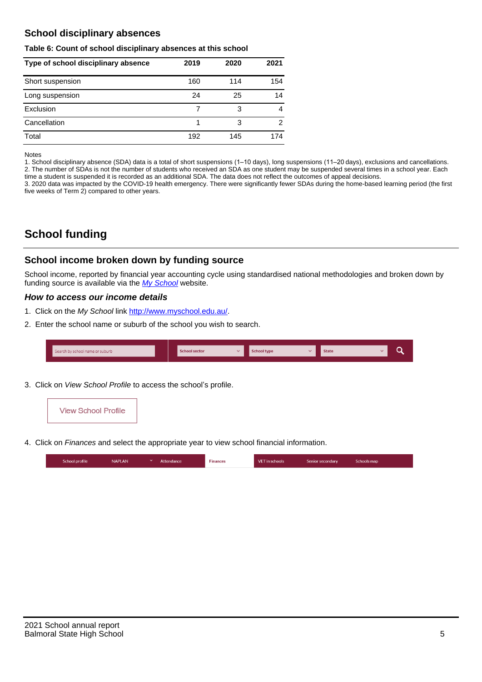### **School disciplinary absences**

### **Table 6: Count of school disciplinary absences at this school**

| Type of school disciplinary absence | 2019 | 2020 | 2021           |
|-------------------------------------|------|------|----------------|
| Short suspension                    | 160  | 114  | 154            |
| Long suspension                     | 24   | 25   | 14             |
| Exclusion                           |      | 3    | 4              |
| Cancellation                        |      | 3    | $\overline{2}$ |
| Total                               | 192  | 145  | 174            |

#### Notes

1. School disciplinary absence (SDA) data is a total of short suspensions (1–10 days), long suspensions (11–20 days), exclusions and cancellations. 2. The number of SDAs is not the number of students who received an SDA as one student may be suspended several times in a school year. Each time a student is suspended it is recorded as an additional SDA. The data does not reflect the outcomes of appeal decisions.

3. 2020 data was impacted by the COVID-19 health emergency. There were significantly fewer SDAs during the home-based learning period (the first five weeks of Term 2) compared to other years.

# **School funding**

### **School income broken down by funding source**

School income, reported by financial year accounting cycle using standardised national methodologies and broken down by funding source is available via the [My School](http://www.myschool.edu.au/) website.

### **How to access our income details**

- 1. Click on the My School link <http://www.myschool.edu.au/>.
- 2. Enter the school name or suburb of the school you wish to search.

| Search by school name or suburb | <b>School sector</b> | <b>School type</b> | <b>State</b> |  |
|---------------------------------|----------------------|--------------------|--------------|--|
|                                 |                      |                    |              |  |

3. Click on View School Profile to access the school's profile.



4. Click on Finances and select the appropriate year to view school financial information.

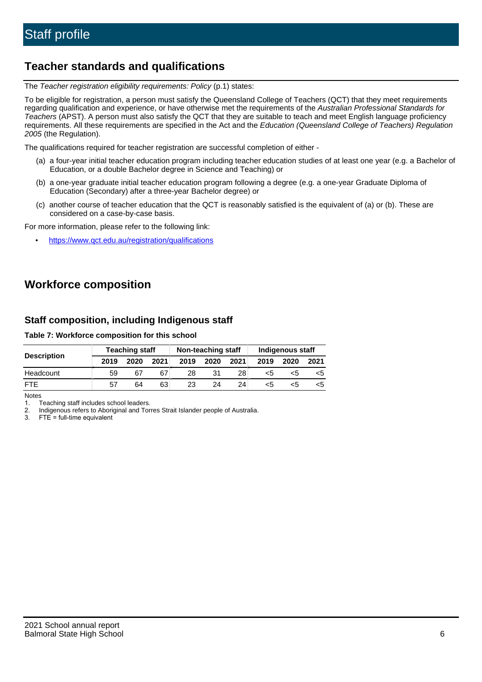# **Teacher standards and qualifications**

The Teacher registration eligibility requirements: Policy (p.1) states:

To be eligible for registration, a person must satisfy the Queensland College of Teachers (QCT) that they meet requirements regarding qualification and experience, or have otherwise met the requirements of the Australian Professional Standards for Teachers (APST). A person must also satisfy the QCT that they are suitable to teach and meet English language proficiency requirements. All these requirements are specified in the Act and the Education (Queensland College of Teachers) Regulation 2005 (the Regulation).

The qualifications required for teacher registration are successful completion of either -

- (a) a four-year initial teacher education program including teacher education studies of at least one year (e.g. a Bachelor of Education, or a double Bachelor degree in Science and Teaching) or
- (b) a one-year graduate initial teacher education program following a degree (e.g. a one-year Graduate Diploma of Education (Secondary) after a three-year Bachelor degree) or
- (c) another course of teacher education that the QCT is reasonably satisfied is the equivalent of (a) or (b). These are considered on a case-by-case basis.

For more information, please refer to the following link:

• <https://www.qct.edu.au/registration/qualifications>

# **Workforce composition**

### **Staff composition, including Indigenous staff**

**Table 7: Workforce composition for this school**

|                    | <b>Teaching staff</b> |      |      | Non-teaching staff |      |      | Indigenous staff |      |      |
|--------------------|-----------------------|------|------|--------------------|------|------|------------------|------|------|
| <b>Description</b> | 2019                  | 2020 | 2021 | 2019               | 2020 | 2021 | 2019             | 2020 | 2021 |
| Headcount          | 59                    | 67   | 67   | 28                 | 31   | 28   | <5               | כ>   |      |
| <b>FTF</b>         | 57                    | 64   | 63   | 23                 | 24   | 24   | <5               |      |      |

Notes

1. Teaching staff includes school leaders.

2. Indigenous refers to Aboriginal and Torres Strait Islander people of Australia.

3. FTE = full-time equivalent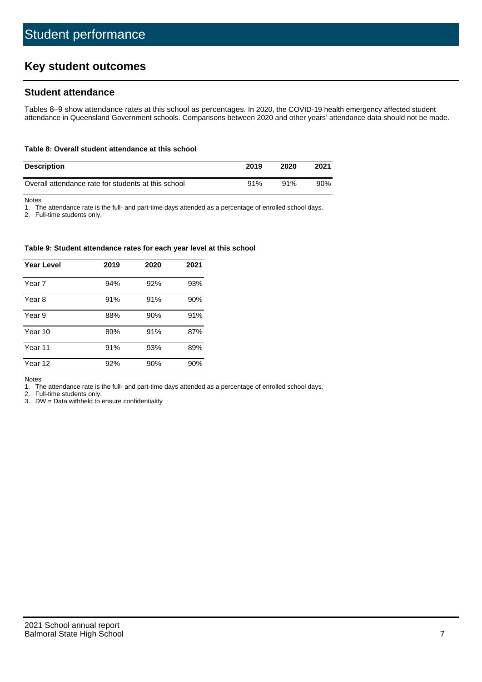# **Key student outcomes**

### **Student attendance**

Tables 8–9 show attendance rates at this school as percentages. In 2020, the COVID-19 health emergency affected student attendance in Queensland Government schools. Comparisons between 2020 and other years' attendance data should not be made.

#### **Table 8: Overall student attendance at this school**

| <b>Description</b>                                  | 2019 | 2020 | 2021 |
|-----------------------------------------------------|------|------|------|
| Overall attendance rate for students at this school | 91%  | 91%  | 90%  |

Notes

1. The attendance rate is the full- and part-time days attended as a percentage of enrolled school days.

2. Full-time students only.

#### **Table 9: Student attendance rates for each year level at this school**

| <b>Year Level</b> | 2019 | 2020 | 2021 |
|-------------------|------|------|------|
| Year 7            | 94%  | 92%  | 93%  |
| Year 8            | 91%  | 91%  | 90%  |
| Year 9            | 88%  | 90%  | 91%  |
| Year 10           | 89%  | 91%  | 87%  |
| Year 11           | 91%  | 93%  | 89%  |
| Year 12           | 92%  | 90%  | 90%  |

Notes

1. The attendance rate is the full- and part-time days attended as a percentage of enrolled school days.

2. Full-time students only.

3. DW = Data withheld to ensure confidentiality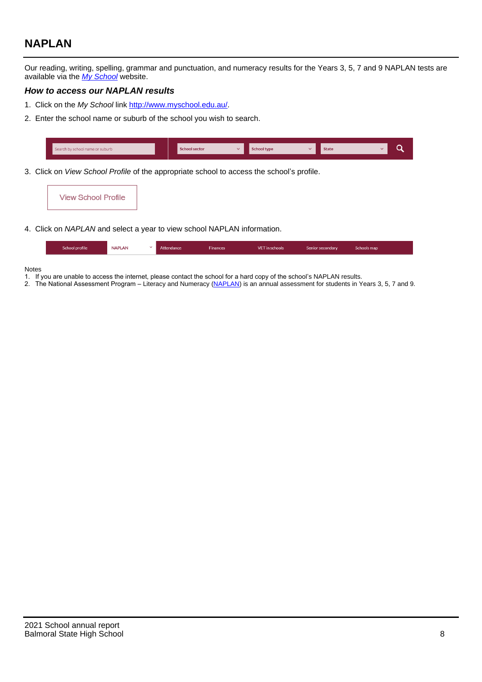# **NAPLAN**

Our reading, writing, spelling, grammar and punctuation, and numeracy results for the Years 3, 5, 7 and 9 NAPLAN tests are available via the [My School](http://www.myschool.edu.au/) website.

### **How to access our NAPLAN results**

- 1. Click on the My School link <http://www.myschool.edu.au/>.
- 2. Enter the school name or suburb of the school you wish to search.

| Search by school name or suburb | <b>School sector</b> | <b>School type</b>                        |          | <b>State</b> |  |
|---------------------------------|----------------------|-------------------------------------------|----------|--------------|--|
|                                 |                      |                                           |          |              |  |
|                                 |                      | $\sim$ $\sim$ $\sim$ $\sim$ $\sim$ $\sim$ | $\cdots$ |              |  |

3. Click on View School Profile of the appropriate school to access the school's profile.

| <b>View School Profile</b> |
|----------------------------|
|----------------------------|

4. Click on NAPLAN and select a year to view school NAPLAN information.

|  | School profile | <b>NAPLAN</b><br>$\sim$ 1 | Attendance | <b>Finances</b> | <b>VET</b> in schools | Senior secondary | Schools map |
|--|----------------|---------------------------|------------|-----------------|-----------------------|------------------|-------------|
|--|----------------|---------------------------|------------|-----------------|-----------------------|------------------|-------------|

#### Notes

- 1. If you are unable to access the internet, please contact the school for a hard copy of the school's NAPLAN results.
- 2. The National Assessment Program Literacy and Numeracy ([NAPLAN\)](http://www.nap.edu.au/naplan) is an annual assessment for students in Years 3, 5, 7 and 9.